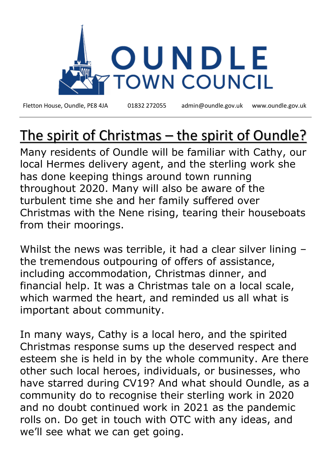

Fletton House, Oundle, PE8 4JA 01832 272055 admin@oundle.gov.uk [www.oundle.gov.uk](http://www.oundle.gov.uk/)

## The spirit of Christmas – the spirit of Oundle?

Many residents of Oundle will be familiar with Cathy, our local Hermes delivery agent, and the sterling work she has done keeping things around town running throughout 2020. Many will also be aware of the turbulent time she and her family suffered over Christmas with the Nene rising, tearing their houseboats from their moorings.

Whilst the news was terrible, it had a clear silver lining – the tremendous outpouring of offers of assistance, including accommodation, Christmas dinner, and financial help. It was a Christmas tale on a local scale, which warmed the heart, and reminded us all what is important about community.

In many ways, Cathy is a local hero, and the spirited Christmas response sums up the deserved respect and esteem she is held in by the whole community. Are there other such local heroes, individuals, or businesses, who have starred during CV19? And what should Oundle, as a community do to recognise their sterling work in 2020 and no doubt continued work in 2021 as the pandemic rolls on. Do get in touch with OTC with any ideas, and we'll see what we can get going.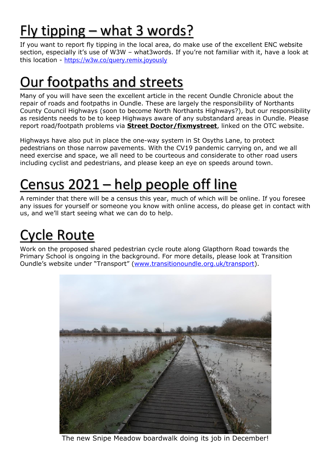## Fly tipping – what 3 words?

If you want to report fly tipping in the local area, do make use of the excellent ENC website section, especially it's use of W3W – what3words. If you're not familiar with it, have a look at this location - <https://w3w.co/query.remix.joyously>

### Our footpaths and streets

Many of you will have seen the excellent article in the recent Oundle Chronicle about the repair of roads and footpaths in Oundle. These are largely the responsibility of Northants County Council Highways (soon to become North Northants Highways?), but our responsibility as residents needs to be to keep Highways aware of any substandard areas in Oundle. Please report road/footpath problems via **Street Doctor/fixmystreet**, linked on the OTC website.

Highways have also put in place the one-way system in St Osyths Lane, to protect pedestrians on those narrow pavements. With the CV19 pandemic carrying on, and we all need exercise and space, we all need to be courteous and considerate to other road users including cyclist and pedestrians, and please keep an eye on speeds around town.

# Census 2021 – help people off line

A reminder that there will be a census this year, much of which will be online. If you foresee any issues for yourself or someone you know with online access, do please get in contact with us, and we'll start seeing what we can do to help.

### Cycle Route

Work on the proposed shared pedestrian cycle route along Glapthorn Road towards the Primary School is ongoing in the background. For more details, please look at Transition Oundle's website under "Transport" ([www.transitionoundle.org.uk/transport\)](http://www.transitionoundle.org.uk/transport).



The new Snipe Meadow boardwalk doing its job in December!